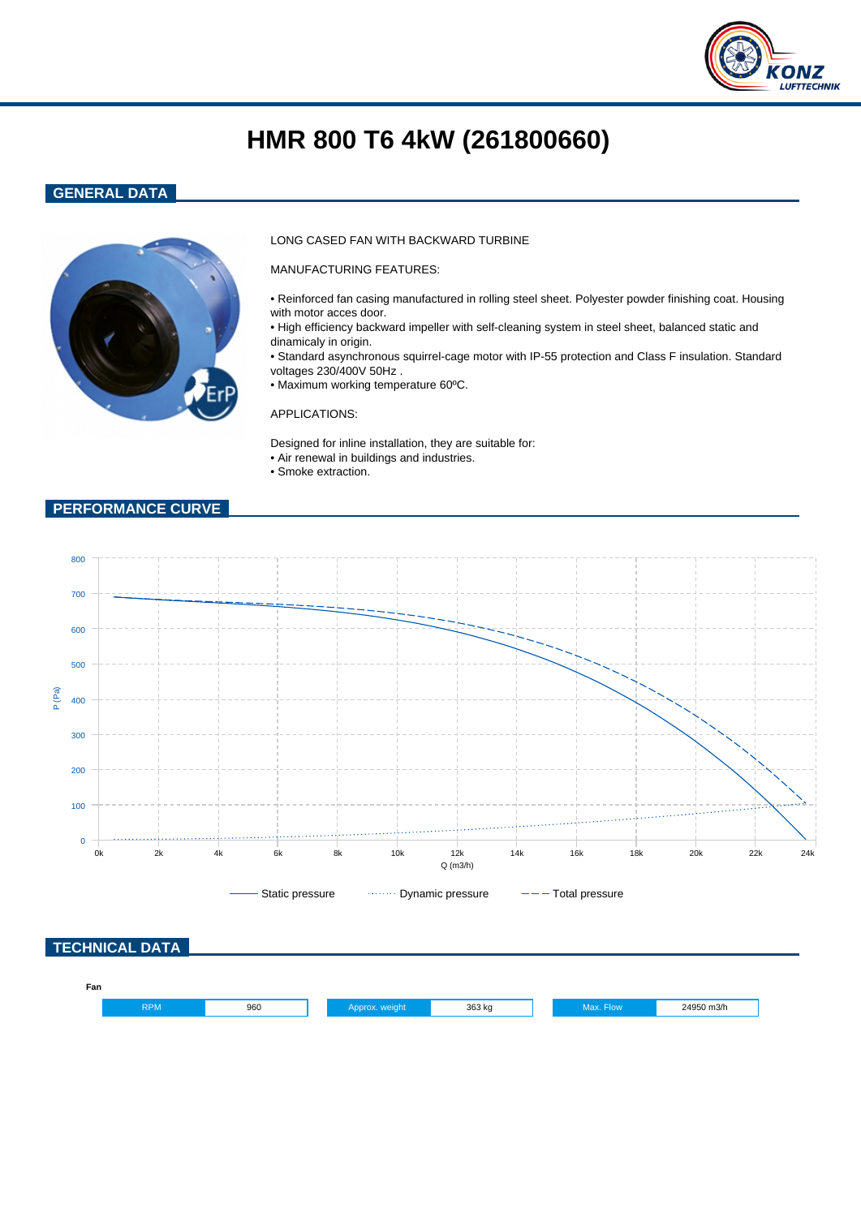

# **HMR 800 T6 4kW (261800660)**

## **GENERAL DATA**



### LONG CASED FAN WITH BACKWARD TURBINE

MANUFACTURING FEATURES:

- Reinforced fan casing manufactured in rolling steel sheet. Polyester powder finishing coat. Housing with motor acces door.
- High efficiency backward impeller with self-cleaning system in steel sheet, balanced static and dinamicaly in origin.
- Standard asynchronous squirrel-cage motor with IP-55 protection and Class F insulation. Standard voltages 230/400V 50Hz .
- Maximum working temperature 60ºC.

#### APPLICATIONS:

Designed for inline installation, they are suitable for: • Air renewal in buildings and industries.

• Smoke extraction.

## **PERFORMANCE CURVE**

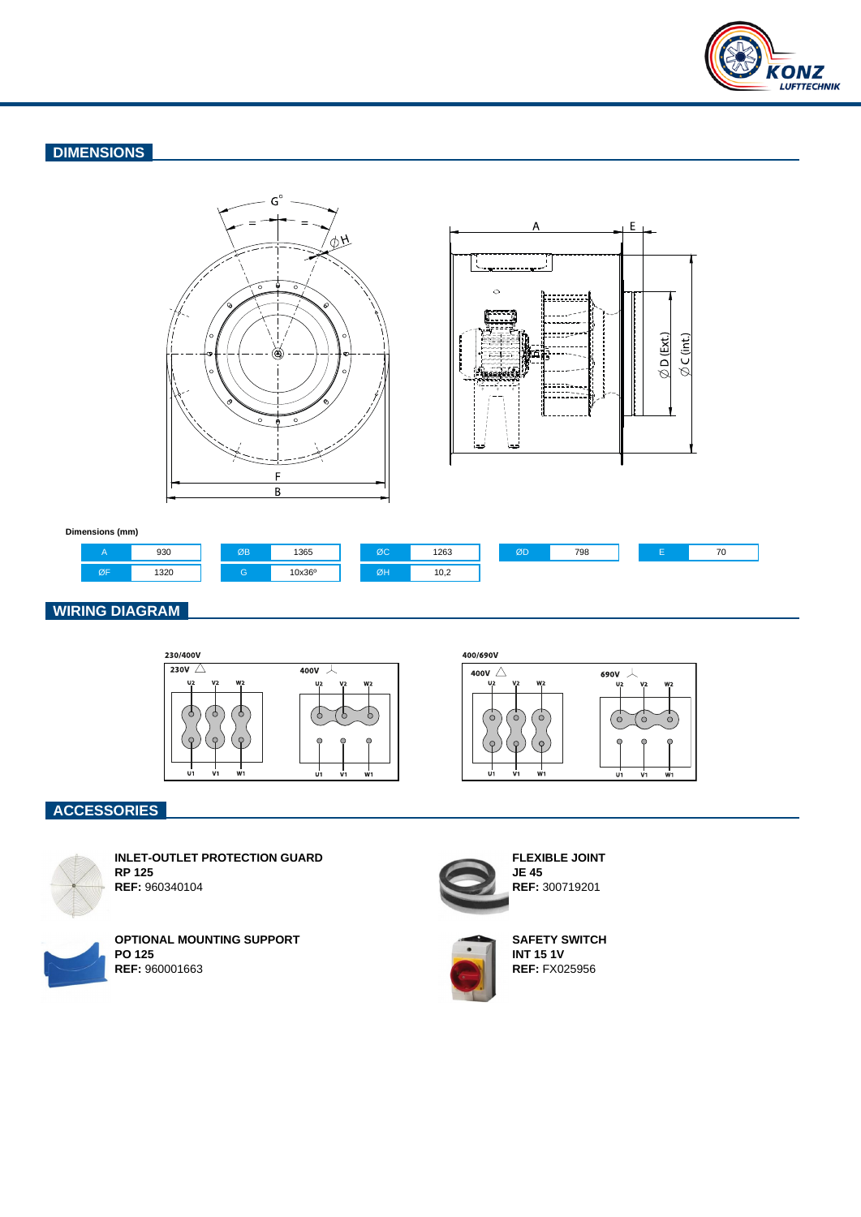

## **DIMENSIONS**





#### **Dimensions (mm)**



## **WIRING DIAGRAM**



400/690V



# **ACCESSORIES**



**REF:** 960340104 **OPTIONAL MOUNTING SUPPORT**



**FLEXIBLE JOINT JE 45 REF:** 300719201



**SAFETY SWITCH INT 15 1V REF:** FX025956